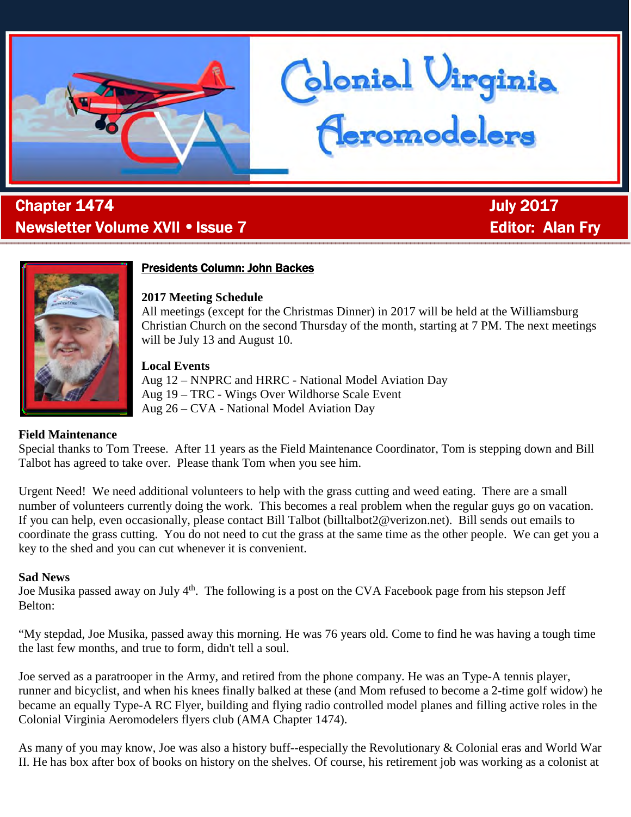

# . **Chapter 1474 July 2017** Newsletter Volume XVII • Issue 7 Editor: Alan Fry



## **Presidents Column: John Backes**

#### **2017 Meeting Schedule**

All meetings (except for the Christmas Dinner) in 2017 will be held at the Williamsburg Christian Church on the second Thursday of the month, starting at 7 PM. The next meetings will be July 13 and August 10.

blonial Virginia<br>Ceromodelers

#### **Local Events**

Aug 12 – NNPRC and HRRC - National Model Aviation Day Aug 19 – TRC - Wings Over Wildhorse Scale Event Aug 26 – CVA - National Model Aviation Day

#### **Field Maintenance**

Special thanks to Tom Treese. After 11 years as the Field Maintenance Coordinator, Tom is stepping down and Bill Talbot has agreed to take over. Please thank Tom when you see him.

Urgent Need! We need additional volunteers to help with the grass cutting and weed eating. There are a small number of volunteers currently doing the work. This becomes a real problem when the regular guys go on vacation. If you can help, even occasionally, please contact Bill Talbot (billtalbot2@verizon.net). Bill sends out emails to coordinate the grass cutting. You do not need to cut the grass at the same time as the other people. We can get you a key to the shed and you can cut whenever it is convenient.

#### **Sad News**

Joe Musika passed away on July 4<sup>th</sup>. The following is a post on the CVA Facebook page from his stepson Jeff Belton:

"My stepdad, Joe Musika, passed away this morning. He was 76 years old. Come to find he was having a tough time the last few months, and true to form, didn't tell a soul.

Joe served as a paratrooper in the Army, and retired from the phone company. He was an Type-A tennis player, runner and bicyclist, and when his knees finally balked at these (and Mom refused to become a 2-time golf widow) he became an equally Type-A RC Flyer, building and flying radio controlled model planes and filling active roles in the Colonial Virginia Aeromodelers flyers club (AMA Chapter 1474).

As many of you may know, Joe was also a history buff--especially the Revolutionary & Colonial eras and World War II. He has box after box of books on history on the shelves. Of course, his retirement job was working as a colonist at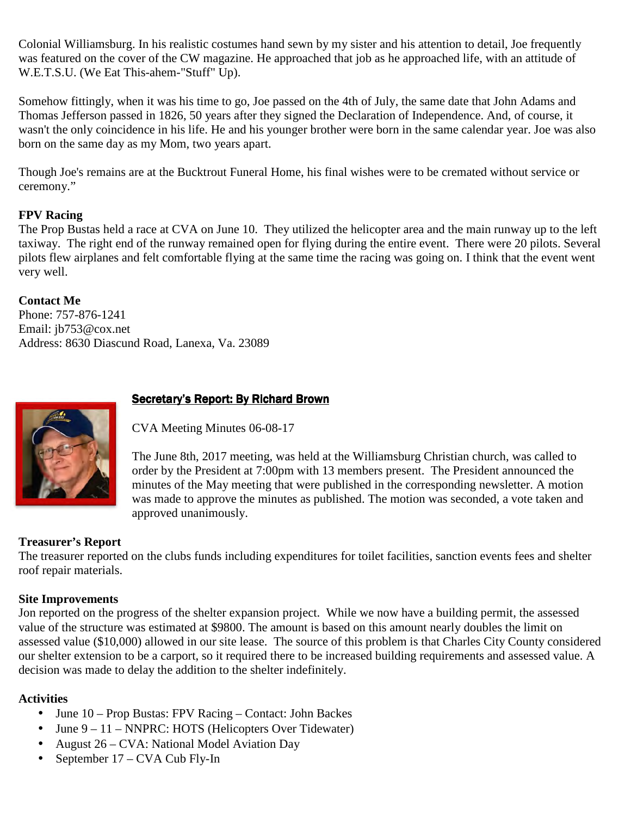Colonial Williamsburg. In his realistic costumes hand sewn by my sister and his attention to detail, Joe frequently was featured on the cover of the CW magazine. He approached that job as he approached life, with an attitude of W.E.T.S.U. (We Eat This-ahem-"Stuff" Up).

Somehow fittingly, when it was his time to go, Joe passed on the 4th of July, the same date that John Adams and Thomas Jefferson passed in 1826, 50 years after they signed the Declaration of Independence. And, of course, it wasn't the only coincidence in his life. He and his younger brother were born in the same calendar year. Joe was also born on the same day as my Mom, two years apart.

Though Joe's remains are at the Bucktrout Funeral Home, his final wishes were to be cremated without service or ceremony."

#### **FPV Racing**

The Prop Bustas held a race at CVA on June 10. They utilized the helicopter area and the main runway up to the left taxiway. The right end of the runway remained open for flying during the entire event. There were 20 pilots. Several pilots flew airplanes and felt comfortable flying at the same time the racing was going on. I think that the event went very well.

#### **Contact Me**

Phone: 757-876-1241 Email: jb753@cox.net Address: 8630 Diascund Road, Lanexa, Va. 23089



#### Secretary's Report: By Richard Brown

CVA Meeting Minutes 06-08-17

The June 8th, 2017 meeting, was held at the Williamsburg Christian church, was called to order by the President at 7:00pm with 13 members present. The President announced the minutes of the May meeting that were published in the corresponding newsletter. A motion was made to approve the minutes as published. The motion was seconded, a vote taken and approved unanimously.

#### **Treasurer's Report**

The treasurer reported on the clubs funds including expenditures for toilet facilities, sanction events fees and shelter roof repair materials.

#### **Site Improvements**

Jon reported on the progress of the shelter expansion project. While we now have a building permit, the assessed value of the structure was estimated at \$9800. The amount is based on this amount nearly doubles the limit on assessed value (\$10,000) allowed in our site lease. The source of this problem is that Charles City County considered our shelter extension to be a carport, so it required there to be increased building requirements and assessed value. A decision was made to delay the addition to the shelter indefinitely.

#### **Activities**

- June 10 Prop Bustas: FPV Racing Contact: John Backes
- June  $9 11$  NNPRC: HOTS (Helicopters Over Tidewater)
- August 26 CVA: National Model Aviation Day
- September 17 CVA Cub Fly-In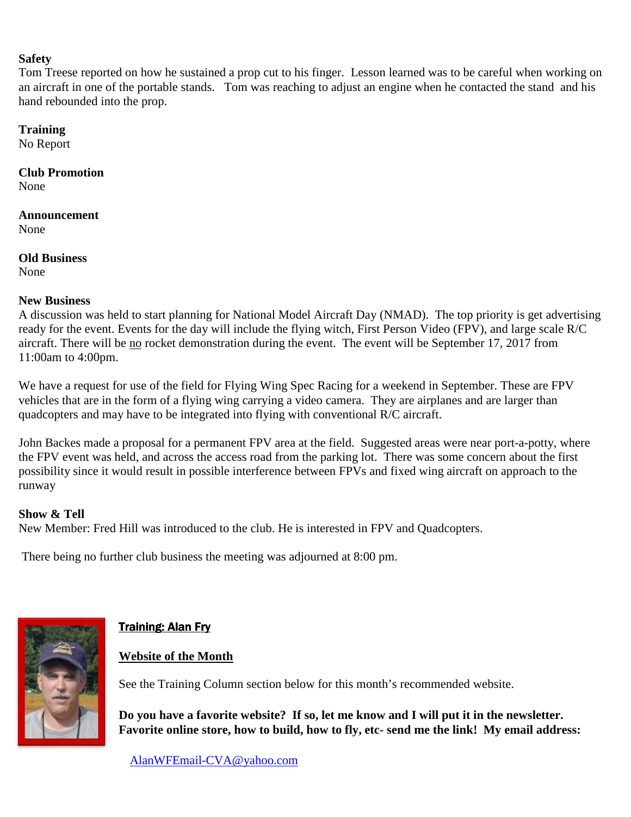#### **Safety**

Tom Treese reported on how he sustained a prop cut to his finger. Lesson learned was to be careful when working on an aircraft in one of the portable stands. Tom was reaching to adjust an engine when he contacted the stand and his hand rebounded into the prop.

#### **Training**

No Report

## **Club Promotion**

None

#### **Announcement**  None

**Old Business**  None

### **New Business**

A discussion was held to start planning for National Model Aircraft Day (NMAD). The top priority is get advertising ready for the event. Events for the day will include the flying witch, First Person Video (FPV), and large scale R/C aircraft. There will be no rocket demonstration during the event. The event will be September 17, 2017 from 11:00am to 4:00pm.

We have a request for use of the field for Flying Wing Spec Racing for a weekend in September. These are FPV vehicles that are in the form of a flying wing carrying a video camera. They are airplanes and are larger than quadcopters and may have to be integrated into flying with conventional R/C aircraft.

John Backes made a proposal for a permanent FPV area at the field. Suggested areas were near port-a-potty, where the FPV event was held, and across the access road from the parking lot. There was some concern about the first possibility since it would result in possible interference between FPVs and fixed wing aircraft on approach to the runway

#### **Show & Tell**

New Member: Fred Hill was introduced to the club. He is interested in FPV and Quadcopters.

There being no further club business the meeting was adjourned at 8:00 pm.



# **Training: Alan Fry**

## **Website of the Month**

See the Training Column section below for this month's recommended website.

**Do you have a favorite website? If so, let me know and I will put it in the newsletter. Favorite online store, how to build, how to fly, etc- send me the link! My email address:** 

AlanWFEmail-CVA@yahoo.com